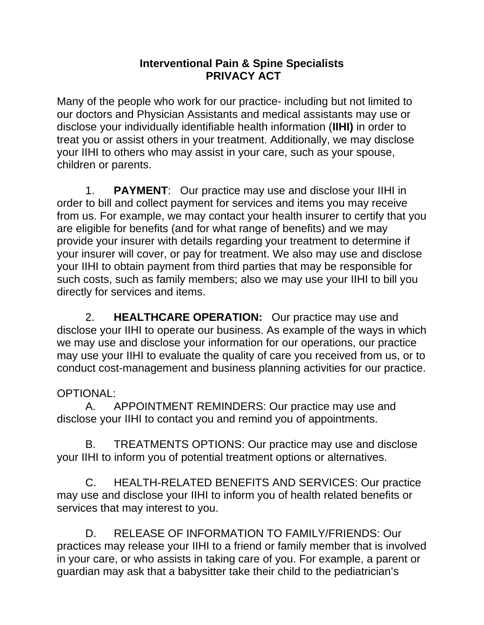## **Interventional Pain & Spine Specialists PRIVACY ACT**

Many of the people who work for our practice- including but not limited to our doctors and Physician Assistants and medical assistants may use or disclose your individually identifiable health information (**IIHI)** in order to treat you or assist others in your treatment. Additionally, we may disclose your IIHI to others who may assist in your care, such as your spouse, children or parents.

 1. **PAYMENT**: Our practice may use and disclose your IIHI in order to bill and collect payment for services and items you may receive from us. For example, we may contact your health insurer to certify that you are eligible for benefits (and for what range of benefits) and we may provide your insurer with details regarding your treatment to determine if your insurer will cover, or pay for treatment. We also may use and disclose your IIHI to obtain payment from third parties that may be responsible for such costs, such as family members; also we may use your IIHI to bill you directly for services and items.

 2. **HEALTHCARE OPERATION:** Our practice may use and disclose your IIHI to operate our business. As example of the ways in which we may use and disclose your information for our operations, our practice may use your IIHI to evaluate the quality of care you received from us, or to conduct cost-management and business planning activities for our practice.

## OPTIONAL:

 A. APPOINTMENT REMINDERS: Our practice may use and disclose your IIHI to contact you and remind you of appointments.

 B. TREATMENTS OPTIONS: Our practice may use and disclose your IIHI to inform you of potential treatment options or alternatives.

 C. HEALTH-RELATED BENEFITS AND SERVICES: Our practice may use and disclose your IIHI to inform you of health related benefits or services that may interest to you.

 D. RELEASE OF INFORMATION TO FAMILY/FRIENDS: Our practices may release your IIHI to a friend or family member that is involved in your care, or who assists in taking care of you. For example, a parent or guardian may ask that a babysitter take their child to the pediatrician's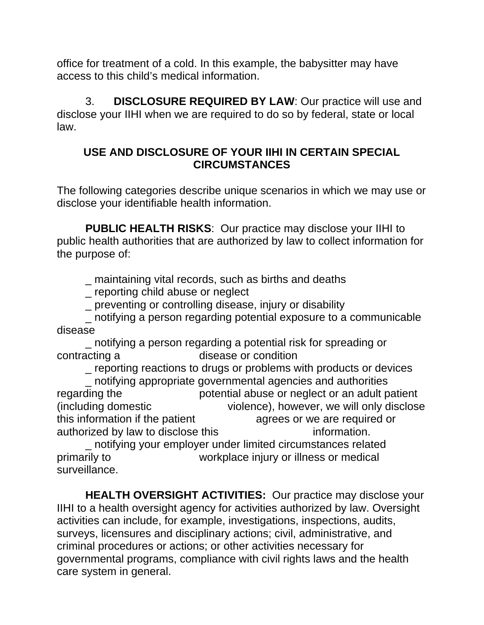office for treatment of a cold. In this example, the babysitter may have access to this child's medical information.

 3. **DISCLOSURE REQUIRED BY LAW**: Our practice will use and disclose your IIHI when we are required to do so by federal, state or local law.

## **USE AND DISCLOSURE OF YOUR IIHI IN CERTAIN SPECIAL CIRCUMSTANCES**

The following categories describe unique scenarios in which we may use or disclose your identifiable health information.

**PUBLIC HEALTH RISKS**: Our practice may disclose your IIHI to public health authorities that are authorized by law to collect information for the purpose of:

\_ maintaining vital records, such as births and deaths

\_ reporting child abuse or neglect

\_ preventing or controlling disease, injury or disability

 \_ notifying a person regarding potential exposure to a communicable disease

\_ notifying a person regarding a potential risk for spreading or contracting a disease or condition

 \_ reporting reactions to drugs or problems with products or devices \_ notifying appropriate governmental agencies and authorities regarding the potential abuse or neglect or an adult patient (including domestic violence), however, we will only disclose this information if the patient agrees or we are required or authorized by law to disclose this **information**.

 \_ notifying your employer under limited circumstances related primarily to workplace injury or illness or medical surveillance.

**HEALTH OVERSIGHT ACTIVITIES:** Our practice may disclose your IIHI to a health oversight agency for activities authorized by law. Oversight activities can include, for example, investigations, inspections, audits, surveys, licensures and disciplinary actions; civil, administrative, and criminal procedures or actions; or other activities necessary for governmental programs, compliance with civil rights laws and the health care system in general.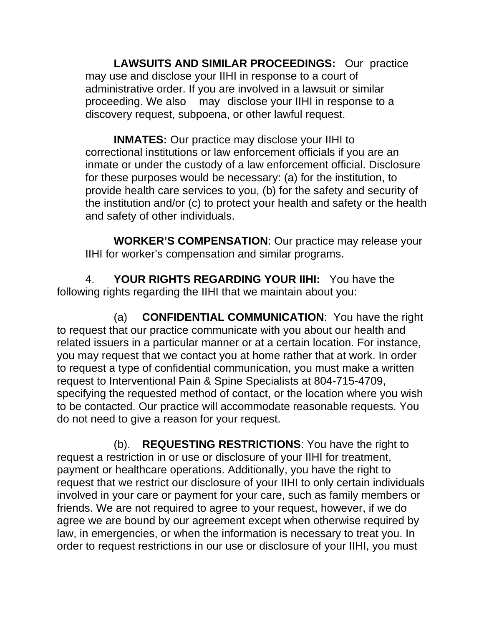**LAWSUITS AND SIMILAR PROCEEDINGS:** Our practice may use and disclose your IIHI in response to a court of administrative order. If you are involved in a lawsuit or similar proceeding. We also may disclose your IIHI in response to a discovery request, subpoena, or other lawful request.

 **INMATES:** Our practice may disclose your IIHI to correctional institutions or law enforcement officials if you are an inmate or under the custody of a law enforcement official. Disclosure for these purposes would be necessary: (a) for the institution, to provide health care services to you, (b) for the safety and security of the institution and/or (c) to protect your health and safety or the health and safety of other individuals.

 **WORKER'S COMPENSATION**: Our practice may release your IIHI for worker's compensation and similar programs.

 4. **YOUR RIGHTS REGARDING YOUR IIHI:** You have the following rights regarding the IIHI that we maintain about you:

 (a) **CONFIDENTIAL COMMUNICATION**: You have the right to request that our practice communicate with you about our health and related issuers in a particular manner or at a certain location. For instance, you may request that we contact you at home rather that at work. In order to request a type of confidential communication, you must make a written request to Interventional Pain & Spine Specialists at 804-715-4709, specifying the requested method of contact, or the location where you wish to be contacted. Our practice will accommodate reasonable requests. You do not need to give a reason for your request.

 (b). **REQUESTING RESTRICTIONS**: You have the right to request a restriction in or use or disclosure of your IIHI for treatment, payment or healthcare operations. Additionally, you have the right to request that we restrict our disclosure of your IIHI to only certain individuals involved in your care or payment for your care, such as family members or friends. We are not required to agree to your request, however, if we do agree we are bound by our agreement except when otherwise required by law, in emergencies, or when the information is necessary to treat you. In order to request restrictions in our use or disclosure of your IIHI, you must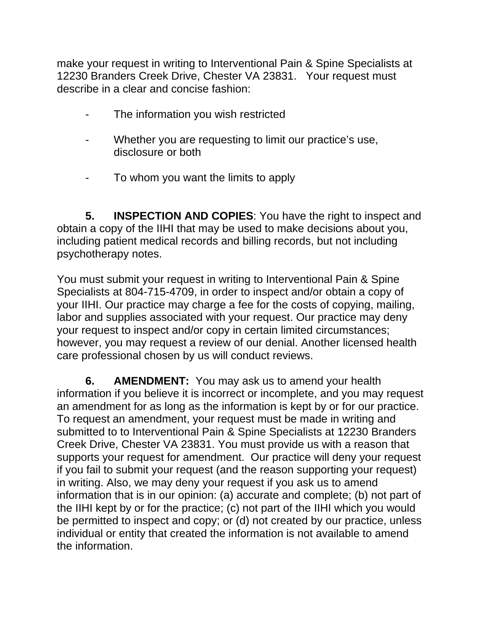make your request in writing to Interventional Pain & Spine Specialists at 12230 Branders Creek Drive, Chester VA 23831. Your request must describe in a clear and concise fashion:

- The information you wish restricted
- Whether you are requesting to limit our practice's use, disclosure or both
- To whom you want the limits to apply

**5. INSPECTION AND COPIES**: You have the right to inspect and obtain a copy of the IIHI that may be used to make decisions about you, including patient medical records and billing records, but not including psychotherapy notes.

You must submit your request in writing to Interventional Pain & Spine Specialists at 804-715-4709, in order to inspect and/or obtain a copy of your IIHI. Our practice may charge a fee for the costs of copying, mailing, labor and supplies associated with your request. Our practice may deny your request to inspect and/or copy in certain limited circumstances; however, you may request a review of our denial. Another licensed health care professional chosen by us will conduct reviews.

**6. AMENDMENT:** You may ask us to amend your health information if you believe it is incorrect or incomplete, and you may request an amendment for as long as the information is kept by or for our practice. To request an amendment, your request must be made in writing and submitted to to Interventional Pain & Spine Specialists at 12230 Branders Creek Drive, Chester VA 23831. You must provide us with a reason that supports your request for amendment. Our practice will deny your request if you fail to submit your request (and the reason supporting your request) in writing. Also, we may deny your request if you ask us to amend information that is in our opinion: (a) accurate and complete; (b) not part of the IIHI kept by or for the practice; (c) not part of the IIHI which you would be permitted to inspect and copy; or (d) not created by our practice, unless individual or entity that created the information is not available to amend the information.